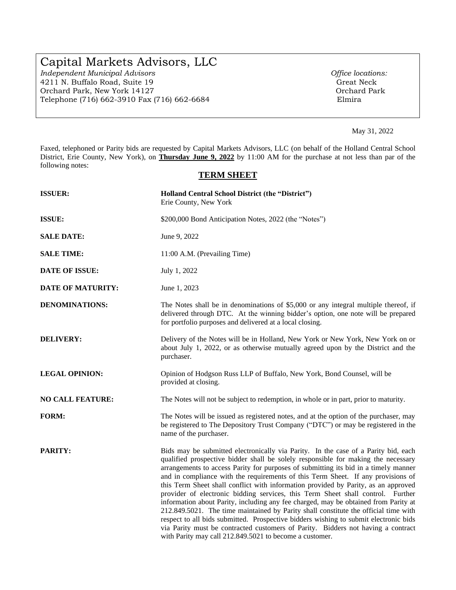# Capital Markets Advisors, LLC

*Independent Municipal Advisors*<br>
4211 N. Buffalo Road, Suite 19<br> **Calculate Contract Access** Great Neck 4211 N. Buffalo Road, Suite 19 Orchard Park, New York 14127 Orchard Park Telephone (716) 662-3910 Fax (716) 662-6684 Elmira

May 31, 2022

Faxed, telephoned or Parity bids are requested by Capital Markets Advisors, LLC (on behalf of the Holland Central School District, Erie County, New York), on **Thursday June 9, 2022** by 11:00 AM for the purchase at not less than par of the following notes:

# **TERM SHEET**

| <b>ISSUER:</b>           | Holland Central School District (the "District")<br>Erie County, New York                                                                                                                                                                                                                                                                                                                                                                                                                                                                                                                                                                                                                                                                                                                                                                                                                                                                        |  |
|--------------------------|--------------------------------------------------------------------------------------------------------------------------------------------------------------------------------------------------------------------------------------------------------------------------------------------------------------------------------------------------------------------------------------------------------------------------------------------------------------------------------------------------------------------------------------------------------------------------------------------------------------------------------------------------------------------------------------------------------------------------------------------------------------------------------------------------------------------------------------------------------------------------------------------------------------------------------------------------|--|
| <b>ISSUE:</b>            | \$200,000 Bond Anticipation Notes, 2022 (the "Notes")                                                                                                                                                                                                                                                                                                                                                                                                                                                                                                                                                                                                                                                                                                                                                                                                                                                                                            |  |
| <b>SALE DATE:</b>        | June 9, 2022                                                                                                                                                                                                                                                                                                                                                                                                                                                                                                                                                                                                                                                                                                                                                                                                                                                                                                                                     |  |
| <b>SALE TIME:</b>        | 11:00 A.M. (Prevailing Time)                                                                                                                                                                                                                                                                                                                                                                                                                                                                                                                                                                                                                                                                                                                                                                                                                                                                                                                     |  |
| <b>DATE OF ISSUE:</b>    | July 1, 2022                                                                                                                                                                                                                                                                                                                                                                                                                                                                                                                                                                                                                                                                                                                                                                                                                                                                                                                                     |  |
| <b>DATE OF MATURITY:</b> | June 1, 2023                                                                                                                                                                                                                                                                                                                                                                                                                                                                                                                                                                                                                                                                                                                                                                                                                                                                                                                                     |  |
| <b>DENOMINATIONS:</b>    | The Notes shall be in denominations of \$5,000 or any integral multiple thereof, if<br>delivered through DTC. At the winning bidder's option, one note will be prepared<br>for portfolio purposes and delivered at a local closing.                                                                                                                                                                                                                                                                                                                                                                                                                                                                                                                                                                                                                                                                                                              |  |
| <b>DELIVERY:</b>         | Delivery of the Notes will be in Holland, New York or New York, New York on or<br>about July 1, 2022, or as otherwise mutually agreed upon by the District and the<br>purchaser.                                                                                                                                                                                                                                                                                                                                                                                                                                                                                                                                                                                                                                                                                                                                                                 |  |
| <b>LEGAL OPINION:</b>    | Opinion of Hodgson Russ LLP of Buffalo, New York, Bond Counsel, will be<br>provided at closing.                                                                                                                                                                                                                                                                                                                                                                                                                                                                                                                                                                                                                                                                                                                                                                                                                                                  |  |
| <b>NO CALL FEATURE:</b>  | The Notes will not be subject to redemption, in whole or in part, prior to maturity.                                                                                                                                                                                                                                                                                                                                                                                                                                                                                                                                                                                                                                                                                                                                                                                                                                                             |  |
| <b>FORM:</b>             | The Notes will be issued as registered notes, and at the option of the purchaser, may<br>be registered to The Depository Trust Company ("DTC") or may be registered in the<br>name of the purchaser.                                                                                                                                                                                                                                                                                                                                                                                                                                                                                                                                                                                                                                                                                                                                             |  |
| <b>PARITY:</b>           | Bids may be submitted electronically via Parity. In the case of a Parity bid, each<br>qualified prospective bidder shall be solely responsible for making the necessary<br>arrangements to access Parity for purposes of submitting its bid in a timely manner<br>and in compliance with the requirements of this Term Sheet. If any provisions of<br>this Term Sheet shall conflict with information provided by Parity, as an approved<br>provider of electronic bidding services, this Term Sheet shall control. Further<br>information about Parity, including any fee charged, may be obtained from Parity at<br>212.849.5021. The time maintained by Parity shall constitute the official time with<br>respect to all bids submitted. Prospective bidders wishing to submit electronic bids<br>via Parity must be contracted customers of Parity. Bidders not having a contract<br>with Parity may call 212.849.5021 to become a customer. |  |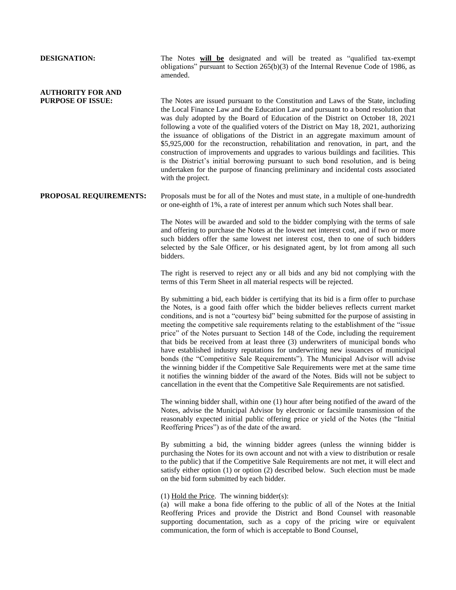# obligations" pursuant to Section 265(b)(3) of the Internal Revenue Code of 1986, as amended. **AUTHORITY FOR AND PURPOSE OF ISSUE:** The Notes are issued pursuant to the Constitution and Laws of the State, including the Local Finance Law and the Education Law and pursuant to a bond resolution that was duly adopted by the Board of Education of the District on October 18, 2021 following a vote of the qualified voters of the District on May 18, 2021, authorizing the issuance of obligations of the District in an aggregate maximum amount of \$5,925,000 for the reconstruction, rehabilitation and renovation, in part, and the construction of improvements and upgrades to various buildings and facilities. This is the District's initial borrowing pursuant to such bond resolution, and is being undertaken for the purpose of financing preliminary and incidental costs associated with the project. **PROPOSAL REQUIREMENTS:** Proposals must be for all of the Notes and must state, in a multiple of one-hundredth or one-eighth of 1%, a rate of interest per annum which such Notes shall bear. The Notes will be awarded and sold to the bidder complying with the terms of sale and offering to purchase the Notes at the lowest net interest cost, and if two or more such bidders offer the same lowest net interest cost, then to one of such bidders selected by the Sale Officer, or his designated agent, by lot from among all such

bidders.

**DESIGNATION:** The Notes will be designated and will be treated as "qualified tax-exempt

The right is reserved to reject any or all bids and any bid not complying with the terms of this Term Sheet in all material respects will be rejected.

By submitting a bid, each bidder is certifying that its bid is a firm offer to purchase the Notes, is a good faith offer which the bidder believes reflects current market conditions, and is not a "courtesy bid" being submitted for the purpose of assisting in meeting the competitive sale requirements relating to the establishment of the "issue price" of the Notes pursuant to Section 148 of the Code, including the requirement that bids be received from at least three (3) underwriters of municipal bonds who have established industry reputations for underwriting new issuances of municipal bonds (the "Competitive Sale Requirements"). The Municipal Advisor will advise the winning bidder if the Competitive Sale Requirements were met at the same time it notifies the winning bidder of the award of the Notes. Bids will not be subject to cancellation in the event that the Competitive Sale Requirements are not satisfied.

The winning bidder shall, within one (1) hour after being notified of the award of the Notes, advise the Municipal Advisor by electronic or facsimile transmission of the reasonably expected initial public offering price or yield of the Notes (the "Initial Reoffering Prices") as of the date of the award.

By submitting a bid, the winning bidder agrees (unless the winning bidder is purchasing the Notes for its own account and not with a view to distribution or resale to the public) that if the Competitive Sale Requirements are not met, it will elect and satisfy either option (1) or option (2) described below. Such election must be made on the bid form submitted by each bidder.

#### (1) Hold the Price. The winning bidder(s):

(a) will make a bona fide offering to the public of all of the Notes at the Initial Reoffering Prices and provide the District and Bond Counsel with reasonable supporting documentation, such as a copy of the pricing wire or equivalent communication, the form of which is acceptable to Bond Counsel,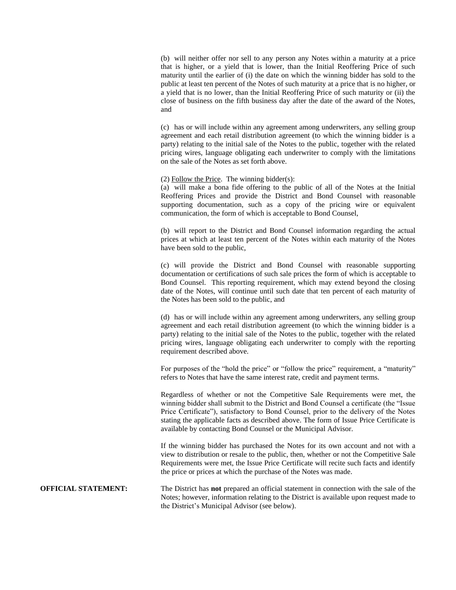(b) will neither offer nor sell to any person any Notes within a maturity at a price that is higher, or a yield that is lower, than the Initial Reoffering Price of such maturity until the earlier of (i) the date on which the winning bidder has sold to the public at least ten percent of the Notes of such maturity at a price that is no higher, or a yield that is no lower, than the Initial Reoffering Price of such maturity or (ii) the close of business on the fifth business day after the date of the award of the Notes, and

(c) has or will include within any agreement among underwriters, any selling group agreement and each retail distribution agreement (to which the winning bidder is a party) relating to the initial sale of the Notes to the public, together with the related pricing wires, language obligating each underwriter to comply with the limitations on the sale of the Notes as set forth above.

(2) Follow the Price. The winning bidder(s):

(a) will make a bona fide offering to the public of all of the Notes at the Initial Reoffering Prices and provide the District and Bond Counsel with reasonable supporting documentation, such as a copy of the pricing wire or equivalent communication, the form of which is acceptable to Bond Counsel,

(b) will report to the District and Bond Counsel information regarding the actual prices at which at least ten percent of the Notes within each maturity of the Notes have been sold to the public,

(c) will provide the District and Bond Counsel with reasonable supporting documentation or certifications of such sale prices the form of which is acceptable to Bond Counsel. This reporting requirement, which may extend beyond the closing date of the Notes, will continue until such date that ten percent of each maturity of the Notes has been sold to the public, and

(d) has or will include within any agreement among underwriters, any selling group agreement and each retail distribution agreement (to which the winning bidder is a party) relating to the initial sale of the Notes to the public, together with the related pricing wires, language obligating each underwriter to comply with the reporting requirement described above.

For purposes of the "hold the price" or "follow the price" requirement, a "maturity" refers to Notes that have the same interest rate, credit and payment terms.

Regardless of whether or not the Competitive Sale Requirements were met, the winning bidder shall submit to the District and Bond Counsel a certificate (the "Issue Price Certificate"), satisfactory to Bond Counsel, prior to the delivery of the Notes stating the applicable facts as described above. The form of Issue Price Certificate is available by contacting Bond Counsel or the Municipal Advisor.

If the winning bidder has purchased the Notes for its own account and not with a view to distribution or resale to the public, then, whether or not the Competitive Sale Requirements were met, the Issue Price Certificate will recite such facts and identify the price or prices at which the purchase of the Notes was made.

**OFFICIAL STATEMENT:** The District has **not** prepared an official statement in connection with the sale of the Notes; however, information relating to the District is available upon request made to the District's Municipal Advisor (see below).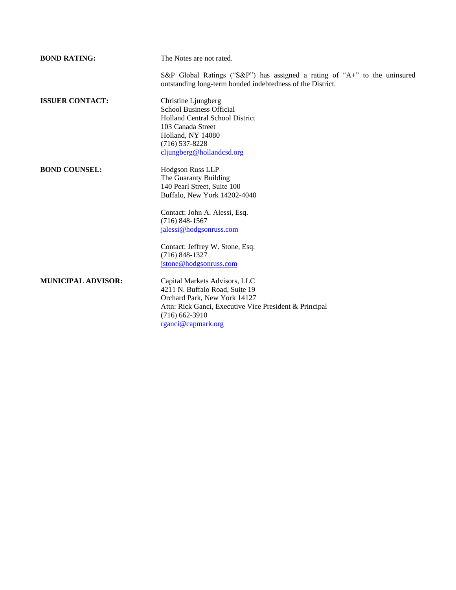| <b>BOND RATING:</b>       | The Notes are not rated.                                                                                                                                                                            |
|---------------------------|-----------------------------------------------------------------------------------------------------------------------------------------------------------------------------------------------------|
|                           | S&P Global Ratings ("S&P") has assigned a rating of "A+" to the uninsured<br>outstanding long-term bonded indebtedness of the District.                                                             |
| <b>ISSUER CONTACT:</b>    | Christine Ljungberg<br><b>School Business Official</b><br>Holland Central School District<br>103 Canada Street<br>Holland, NY 14080<br>$(716)$ 537-8228<br>cljungberg@hollandcsd.org                |
| <b>BOND COUNSEL:</b>      | Hodgson Russ LLP<br>The Guaranty Building<br>140 Pearl Street, Suite 100<br>Buffalo, New York 14202-4040                                                                                            |
|                           | Contact: John A. Alessi, Esq.<br>$(716)$ 848-1567<br>jalessi@hodgsonruss.com                                                                                                                        |
|                           | Contact: Jeffrey W. Stone, Esq.<br>$(716) 848 - 1327$<br>jstone@hodgsonruss.com                                                                                                                     |
| <b>MUNICIPAL ADVISOR:</b> | Capital Markets Advisors, LLC<br>4211 N. Buffalo Road, Suite 19<br>Orchard Park, New York 14127<br>Attn: Rick Ganci, Executive Vice President & Principal<br>$(716)$ 662-3910<br>rganci@capmark.org |